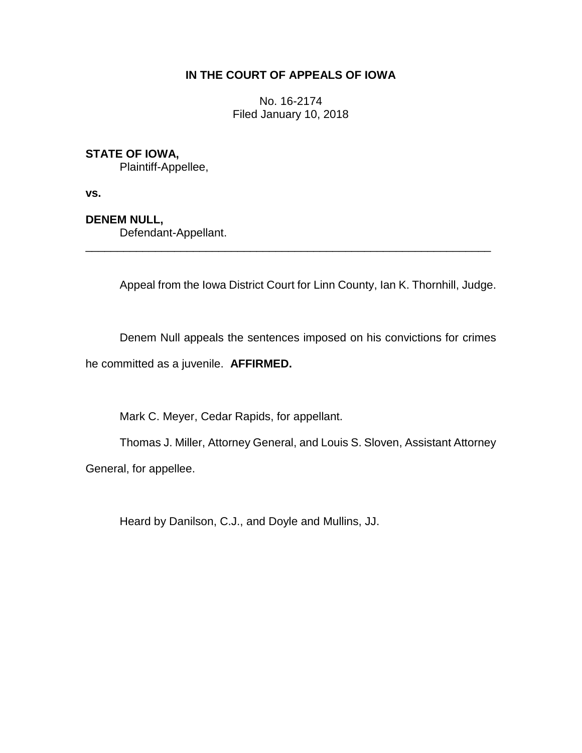# **IN THE COURT OF APPEALS OF IOWA**

No. 16-2174 Filed January 10, 2018

# **STATE OF IOWA,**

Plaintiff-Appellee,

**vs.**

# **DENEM NULL,**

Defendant-Appellant.

Appeal from the Iowa District Court for Linn County, Ian K. Thornhill, Judge.

\_\_\_\_\_\_\_\_\_\_\_\_\_\_\_\_\_\_\_\_\_\_\_\_\_\_\_\_\_\_\_\_\_\_\_\_\_\_\_\_\_\_\_\_\_\_\_\_\_\_\_\_\_\_\_\_\_\_\_\_\_\_\_\_

Denem Null appeals the sentences imposed on his convictions for crimes

he committed as a juvenile. **AFFIRMED.**

Mark C. Meyer, Cedar Rapids, for appellant.

Thomas J. Miller, Attorney General, and Louis S. Sloven, Assistant Attorney General, for appellee.

Heard by Danilson, C.J., and Doyle and Mullins, JJ.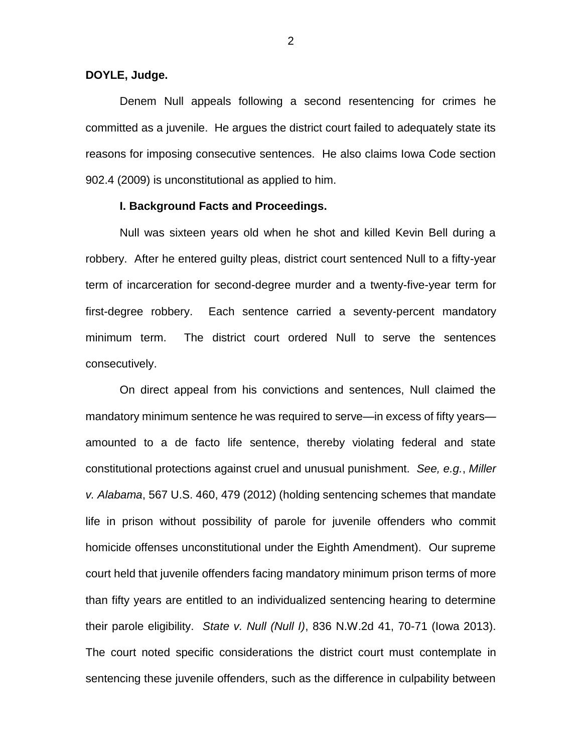### **DOYLE, Judge.**

Denem Null appeals following a second resentencing for crimes he committed as a juvenile. He argues the district court failed to adequately state its reasons for imposing consecutive sentences. He also claims Iowa Code section 902.4 (2009) is unconstitutional as applied to him.

### **I. Background Facts and Proceedings.**

Null was sixteen years old when he shot and killed Kevin Bell during a robbery. After he entered guilty pleas, district court sentenced Null to a fifty-year term of incarceration for second-degree murder and a twenty-five-year term for first-degree robbery. Each sentence carried a seventy-percent mandatory minimum term. The district court ordered Null to serve the sentences consecutively.

On direct appeal from his convictions and sentences, Null claimed the mandatory minimum sentence he was required to serve—in excess of fifty years amounted to a de facto life sentence, thereby violating federal and state constitutional protections against cruel and unusual punishment. *See, e.g.*, *Miller v. Alabama*, 567 U.S. 460, 479 (2012) (holding sentencing schemes that mandate life in prison without possibility of parole for juvenile offenders who commit homicide offenses unconstitutional under the Eighth Amendment). Our supreme court held that juvenile offenders facing mandatory minimum prison terms of more than fifty years are entitled to an individualized sentencing hearing to determine their parole eligibility. *State v. Null (Null I)*, 836 N.W.2d 41, 70-71 (Iowa 2013). The court noted specific considerations the district court must contemplate in sentencing these juvenile offenders, such as the difference in culpability between

2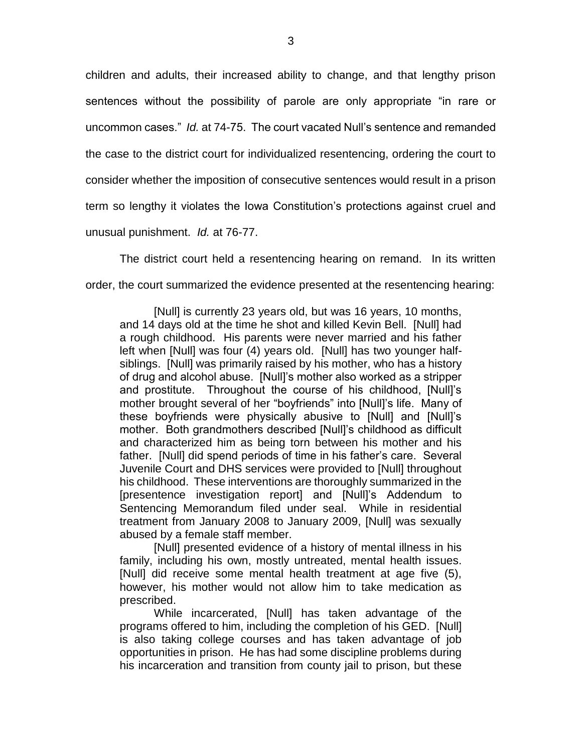children and adults, their increased ability to change, and that lengthy prison sentences without the possibility of parole are only appropriate "in rare or uncommon cases." *Id.* at 74-75. The court vacated Null's sentence and remanded the case to the district court for individualized resentencing, ordering the court to consider whether the imposition of consecutive sentences would result in a prison term so lengthy it violates the Iowa Constitution's protections against cruel and unusual punishment. *Id.* at 76-77.

The district court held a resentencing hearing on remand. In its written order, the court summarized the evidence presented at the resentencing hearing:

[Null] is currently 23 years old, but was 16 years, 10 months, and 14 days old at the time he shot and killed Kevin Bell. [Null] had a rough childhood. His parents were never married and his father left when [Null] was four (4) years old. [Null] has two younger halfsiblings. [Null] was primarily raised by his mother, who has a history of drug and alcohol abuse. [Null]'s mother also worked as a stripper and prostitute. Throughout the course of his childhood, [Null]'s mother brought several of her "boyfriends" into [Null]'s life. Many of these boyfriends were physically abusive to [Null] and [Null]'s mother. Both grandmothers described [Null]'s childhood as difficult and characterized him as being torn between his mother and his father. [Null] did spend periods of time in his father's care. Several Juvenile Court and DHS services were provided to [Null] throughout his childhood. These interventions are thoroughly summarized in the [presentence investigation report] and [Null]'s Addendum to Sentencing Memorandum filed under seal. While in residential treatment from January 2008 to January 2009, [Null] was sexually abused by a female staff member.

[Null] presented evidence of a history of mental illness in his family, including his own, mostly untreated, mental health issues. [Null] did receive some mental health treatment at age five (5), however, his mother would not allow him to take medication as prescribed.

While incarcerated, [Null] has taken advantage of the programs offered to him, including the completion of his GED. [Null] is also taking college courses and has taken advantage of job opportunities in prison. He has had some discipline problems during his incarceration and transition from county jail to prison, but these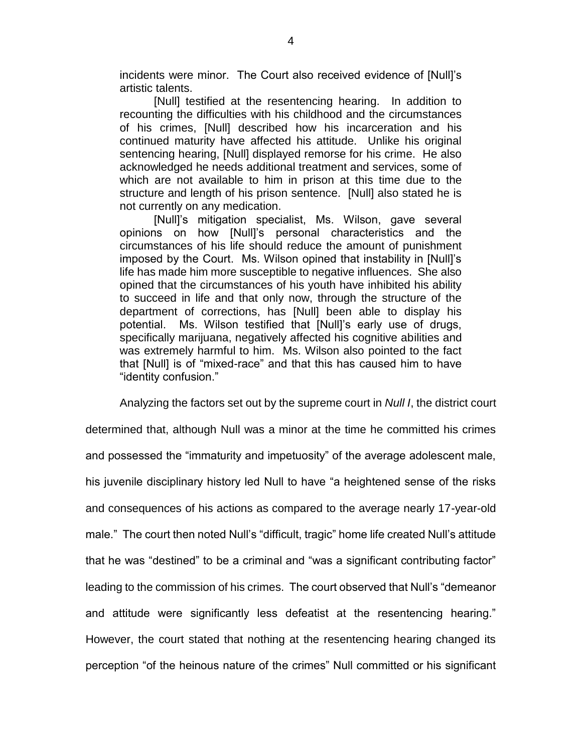incidents were minor. The Court also received evidence of [Null]'s artistic talents.

[Null] testified at the resentencing hearing. In addition to recounting the difficulties with his childhood and the circumstances of his crimes, [Null] described how his incarceration and his continued maturity have affected his attitude. Unlike his original sentencing hearing, [Null] displayed remorse for his crime. He also acknowledged he needs additional treatment and services, some of which are not available to him in prison at this time due to the structure and length of his prison sentence. [Null] also stated he is not currently on any medication.

[Null]'s mitigation specialist, Ms. Wilson, gave several opinions on how [Null]'s personal characteristics and the circumstances of his life should reduce the amount of punishment imposed by the Court. Ms. Wilson opined that instability in [Null]'s life has made him more susceptible to negative influences. She also opined that the circumstances of his youth have inhibited his ability to succeed in life and that only now, through the structure of the department of corrections, has [Null] been able to display his potential. Ms. Wilson testified that [Null]'s early use of drugs, specifically marijuana, negatively affected his cognitive abilities and was extremely harmful to him. Ms. Wilson also pointed to the fact that [Null] is of "mixed-race" and that this has caused him to have "identity confusion."

Analyzing the factors set out by the supreme court in *Null I*, the district court determined that, although Null was a minor at the time he committed his crimes and possessed the "immaturity and impetuosity" of the average adolescent male, his juvenile disciplinary history led Null to have "a heightened sense of the risks and consequences of his actions as compared to the average nearly 17-year-old male." The court then noted Null's "difficult, tragic" home life created Null's attitude that he was "destined" to be a criminal and "was a significant contributing factor" leading to the commission of his crimes. The court observed that Null's "demeanor and attitude were significantly less defeatist at the resentencing hearing." However, the court stated that nothing at the resentencing hearing changed its perception "of the heinous nature of the crimes" Null committed or his significant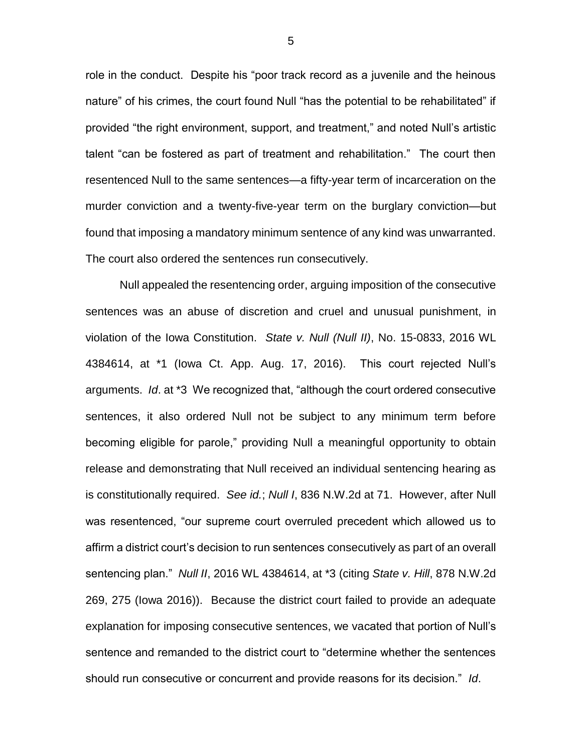role in the conduct. Despite his "poor track record as a juvenile and the heinous nature" of his crimes, the court found Null "has the potential to be rehabilitated" if provided "the right environment, support, and treatment," and noted Null's artistic talent "can be fostered as part of treatment and rehabilitation." The court then resentenced Null to the same sentences—a fifty-year term of incarceration on the murder conviction and a twenty-five-year term on the burglary conviction—but found that imposing a mandatory minimum sentence of any kind was unwarranted. The court also ordered the sentences run consecutively.

Null appealed the resentencing order, arguing imposition of the consecutive sentences was an abuse of discretion and cruel and unusual punishment, in violation of the Iowa Constitution. *State v. Null (Null II)*, No. 15-0833, 2016 WL 4384614, at \*1 (Iowa Ct. App. Aug. 17, 2016). This court rejected Null's arguments. *Id*. at \*3 We recognized that, "although the court ordered consecutive sentences, it also ordered Null not be subject to any minimum term before becoming eligible for parole," providing Null a meaningful opportunity to obtain release and demonstrating that Null received an individual sentencing hearing as is constitutionally required. *See id.*; *Null I*, 836 N.W.2d at 71. However, after Null was resentenced, "our supreme court overruled precedent which allowed us to affirm a district court's decision to run sentences consecutively as part of an overall sentencing plan." *Null II*, 2016 WL 4384614, at \*3 (citing *State v. Hill*, 878 N.W.2d 269, 275 (Iowa 2016)). Because the district court failed to provide an adequate explanation for imposing consecutive sentences, we vacated that portion of Null's sentence and remanded to the district court to "determine whether the sentences should run consecutive or concurrent and provide reasons for its decision." *Id*.

5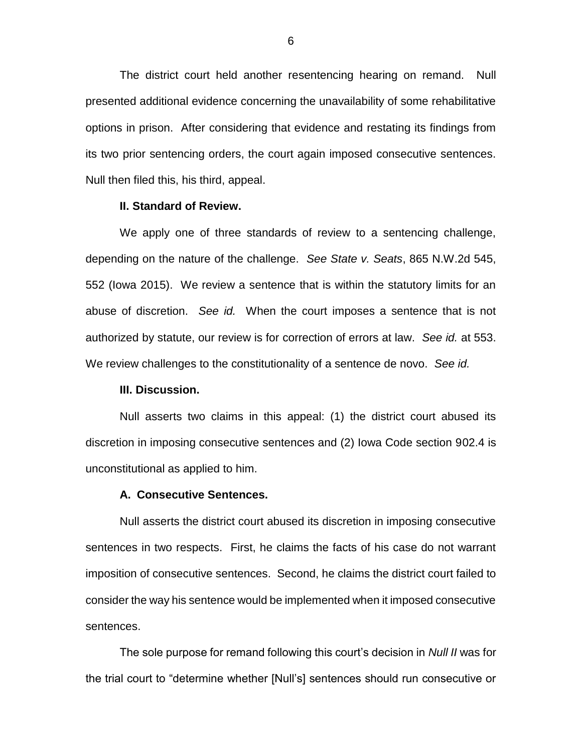The district court held another resentencing hearing on remand. Null presented additional evidence concerning the unavailability of some rehabilitative options in prison. After considering that evidence and restating its findings from its two prior sentencing orders, the court again imposed consecutive sentences. Null then filed this, his third, appeal.

#### **II. Standard of Review.**

We apply one of three standards of review to a sentencing challenge, depending on the nature of the challenge. *See State v. Seats*, 865 N.W.2d 545, 552 (Iowa 2015). We review a sentence that is within the statutory limits for an abuse of discretion. *See id.* When the court imposes a sentence that is not authorized by statute, our review is for correction of errors at law. *See id.* at 553. We review challenges to the constitutionality of a sentence de novo. *See id.* 

#### **III. Discussion.**

Null asserts two claims in this appeal: (1) the district court abused its discretion in imposing consecutive sentences and (2) Iowa Code section 902.4 is unconstitutional as applied to him.

## **A. Consecutive Sentences.**

Null asserts the district court abused its discretion in imposing consecutive sentences in two respects. First, he claims the facts of his case do not warrant imposition of consecutive sentences. Second, he claims the district court failed to consider the way his sentence would be implemented when it imposed consecutive sentences.

The sole purpose for remand following this court's decision in *Null II* was for the trial court to "determine whether [Null's] sentences should run consecutive or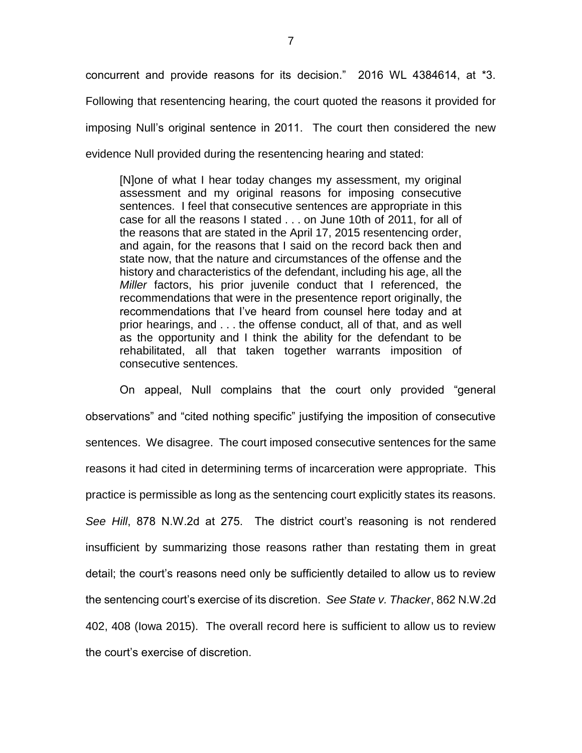concurrent and provide reasons for its decision." 2016 WL 4384614, at \*3. Following that resentencing hearing, the court quoted the reasons it provided for imposing Null's original sentence in 2011. The court then considered the new evidence Null provided during the resentencing hearing and stated:

[N]one of what I hear today changes my assessment, my original assessment and my original reasons for imposing consecutive sentences. I feel that consecutive sentences are appropriate in this case for all the reasons I stated . . . on June 10th of 2011, for all of the reasons that are stated in the April 17, 2015 resentencing order, and again, for the reasons that I said on the record back then and state now, that the nature and circumstances of the offense and the history and characteristics of the defendant, including his age, all the *Miller* factors, his prior juvenile conduct that I referenced, the recommendations that were in the presentence report originally, the recommendations that I've heard from counsel here today and at prior hearings, and . . . the offense conduct, all of that, and as well as the opportunity and I think the ability for the defendant to be rehabilitated, all that taken together warrants imposition of consecutive sentences.

On appeal, Null complains that the court only provided "general observations" and "cited nothing specific" justifying the imposition of consecutive sentences. We disagree. The court imposed consecutive sentences for the same reasons it had cited in determining terms of incarceration were appropriate. This practice is permissible as long as the sentencing court explicitly states its reasons. *See Hill*, 878 N.W.2d at 275. The district court's reasoning is not rendered insufficient by summarizing those reasons rather than restating them in great detail; the court's reasons need only be sufficiently detailed to allow us to review the sentencing court's exercise of its discretion. *See State v. Thacker*, 862 N.W.2d 402, 408 (Iowa 2015). The overall record here is sufficient to allow us to review the court's exercise of discretion.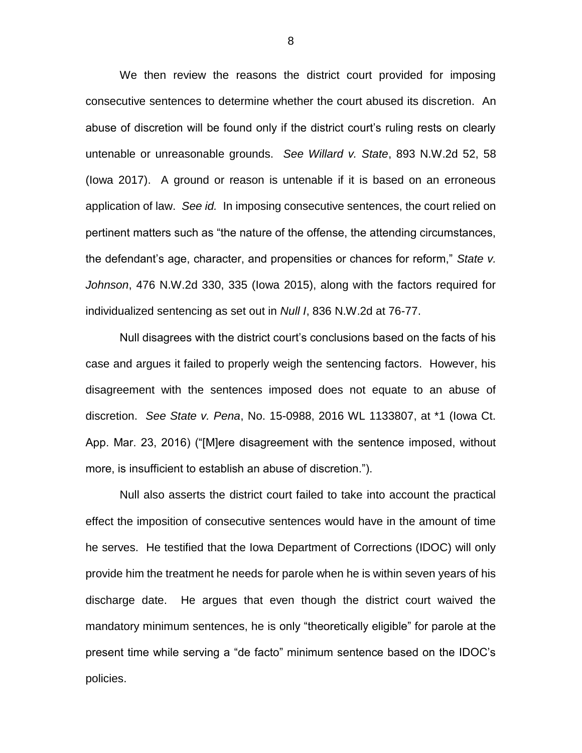We then review the reasons the district court provided for imposing consecutive sentences to determine whether the court abused its discretion. An abuse of discretion will be found only if the district court's ruling rests on clearly untenable or unreasonable grounds. *See Willard v. State*, 893 N.W.2d 52, 58 (Iowa 2017). A ground or reason is untenable if it is based on an erroneous application of law. *See id.* In imposing consecutive sentences, the court relied on pertinent matters such as "the nature of the offense, the attending circumstances, the defendant's age, character, and propensities or chances for reform," *State v. Johnson*, 476 N.W.2d 330, 335 (Iowa 2015), along with the factors required for individualized sentencing as set out in *Null I*, 836 N.W.2d at 76-77.

Null disagrees with the district court's conclusions based on the facts of his case and argues it failed to properly weigh the sentencing factors. However, his disagreement with the sentences imposed does not equate to an abuse of discretion. *See State v. Pena*, No. 15-0988, 2016 WL 1133807, at \*1 (Iowa Ct. App. Mar. 23, 2016) ("[M]ere disagreement with the sentence imposed, without more, is insufficient to establish an abuse of discretion.").

Null also asserts the district court failed to take into account the practical effect the imposition of consecutive sentences would have in the amount of time he serves. He testified that the Iowa Department of Corrections (IDOC) will only provide him the treatment he needs for parole when he is within seven years of his discharge date. He argues that even though the district court waived the mandatory minimum sentences, he is only "theoretically eligible" for parole at the present time while serving a "de facto" minimum sentence based on the IDOC's policies.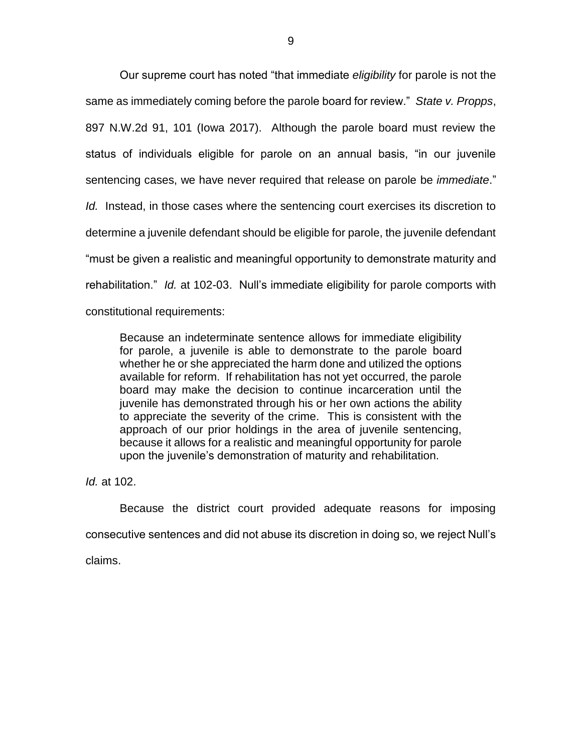Our supreme court has noted "that immediate *eligibility* for parole is not the same as immediately coming before the parole board for review." *State v. Propps*, 897 N.W.2d 91, 101 (Iowa 2017). Although the parole board must review the status of individuals eligible for parole on an annual basis, "in our juvenile sentencing cases, we have never required that release on parole be *immediate*." *Id.* Instead, in those cases where the sentencing court exercises its discretion to determine a juvenile defendant should be eligible for parole, the juvenile defendant "must be given a realistic and meaningful opportunity to demonstrate maturity and rehabilitation." *Id.* at 102-03. Null's immediate eligibility for parole comports with constitutional requirements:

Because an indeterminate sentence allows for immediate eligibility for parole, a juvenile is able to demonstrate to the parole board whether he or she appreciated the harm done and utilized the options available for reform. If rehabilitation has not yet occurred, the parole board may make the decision to continue incarceration until the juvenile has demonstrated through his or her own actions the ability to appreciate the severity of the crime. This is consistent with the approach of our prior holdings in the area of juvenile sentencing, because it allows for a realistic and meaningful opportunity for parole upon the juvenile's demonstration of maturity and rehabilitation.

*Id.* at 102.

Because the district court provided adequate reasons for imposing consecutive sentences and did not abuse its discretion in doing so, we reject Null's

claims.